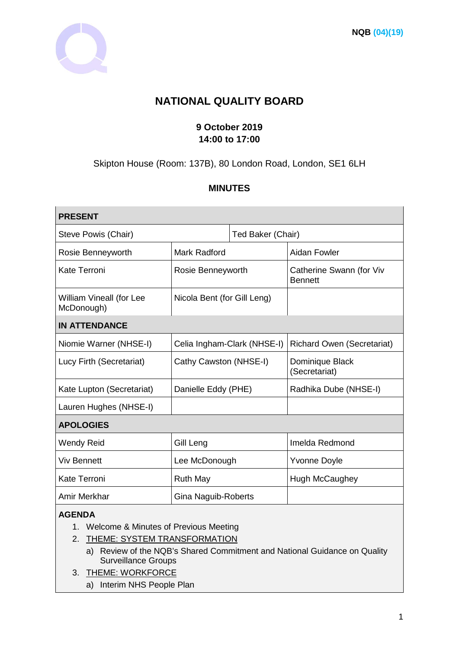

# **NATIONAL QUALITY BOARD**

# **9 October 2019 14:00 to 17:00**

# Skipton House (Room: 137B), 80 London Road, London, SE1 6LH

# **MINUTES**

| <b>PRESENT</b>                                                                                     |                             |                   |                                            |
|----------------------------------------------------------------------------------------------------|-----------------------------|-------------------|--------------------------------------------|
| Steve Powis (Chair)                                                                                |                             | Ted Baker (Chair) |                                            |
| Rosie Benneyworth                                                                                  | <b>Mark Radford</b>         |                   | Aidan Fowler                               |
| <b>Kate Terroni</b>                                                                                | Rosie Benneyworth           |                   | Catherine Swann (for Viv<br><b>Bennett</b> |
| William Vineall (for Lee<br>McDonough)                                                             | Nicola Bent (for Gill Leng) |                   |                                            |
| <b>IN ATTENDANCE</b>                                                                               |                             |                   |                                            |
| Niomie Warner (NHSE-I)                                                                             | Celia Ingham-Clark (NHSE-I) |                   | <b>Richard Owen (Secretariat)</b>          |
| Lucy Firth (Secretariat)                                                                           | Cathy Cawston (NHSE-I)      |                   | Dominique Black<br>(Secretariat)           |
| Kate Lupton (Secretariat)                                                                          | Danielle Eddy (PHE)         |                   | Radhika Dube (NHSE-I)                      |
| Lauren Hughes (NHSE-I)                                                                             |                             |                   |                                            |
| <b>APOLOGIES</b>                                                                                   |                             |                   |                                            |
| <b>Wendy Reid</b>                                                                                  | Gill Leng                   |                   | Imelda Redmond                             |
| <b>Viv Bennett</b>                                                                                 | Lee McDonough               |                   | <b>Yvonne Doyle</b>                        |
| <b>Kate Terroni</b>                                                                                | <b>Ruth May</b>             |                   | Hugh McCaughey                             |
| Amir Merkhar                                                                                       | Gina Naguib-Roberts         |                   |                                            |
| <b>AGENDA</b><br>Welcome & Minutes of Previous Meeting<br>1.<br>THEME: SYSTEM TRANSFORMATION<br>2. |                             |                   |                                            |

a) Review of the NQB's Shared Commitment and National Guidance on Quality Surveillance Groups

- 3. THEME: WORKFORCE
	- a) Interim NHS People Plan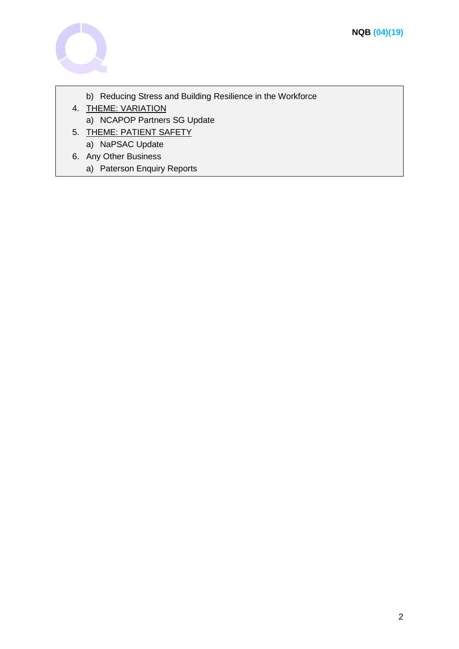

- b) Reducing Stress and Building Resilience in the Workforce
- 4. THEME: VARIATION
- a) NCAPOP Partners SG Update
- 5. THEME: PATIENT SAFETY
	- a) NaPSAC Update
- 6. Any Other Business
	- a) Paterson Enquiry Reports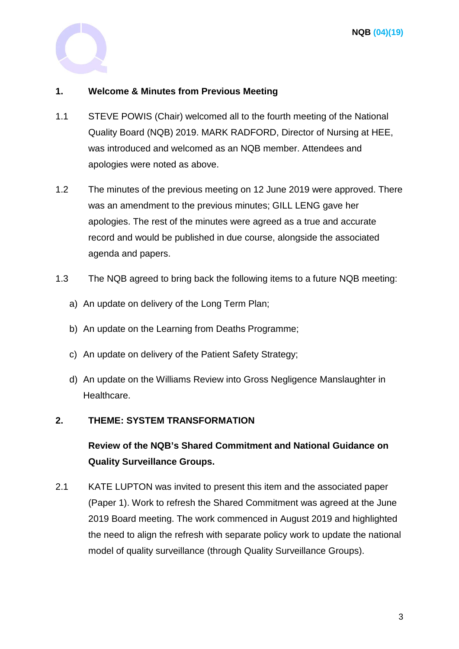

# **1. Welcome & Minutes from Previous Meeting**

- 1.1 STEVE POWIS (Chair) welcomed all to the fourth meeting of the National Quality Board (NQB) 2019. MARK RADFORD, Director of Nursing at HEE, was introduced and welcomed as an NQB member. Attendees and apologies were noted as above.
- 1.2 The minutes of the previous meeting on 12 June 2019 were approved. There was an amendment to the previous minutes; GILL LENG gave her apologies. The rest of the minutes were agreed as a true and accurate record and would be published in due course, alongside the associated agenda and papers.
- 1.3 The NQB agreed to bring back the following items to a future NQB meeting:
	- a) An update on delivery of the Long Term Plan;
	- b) An update on the Learning from Deaths Programme;
	- c) An update on delivery of the Patient Safety Strategy;
	- d) An update on the Williams Review into Gross Negligence Manslaughter in Healthcare.

# **2. THEME: SYSTEM TRANSFORMATION**

**Review of the NQB's Shared Commitment and National Guidance on Quality Surveillance Groups.** 

2.1 KATE LUPTON was invited to present this item and the associated paper (Paper 1). Work to refresh the Shared Commitment was agreed at the June 2019 Board meeting. The work commenced in August 2019 and highlighted the need to align the refresh with separate policy work to update the national model of quality surveillance (through Quality Surveillance Groups).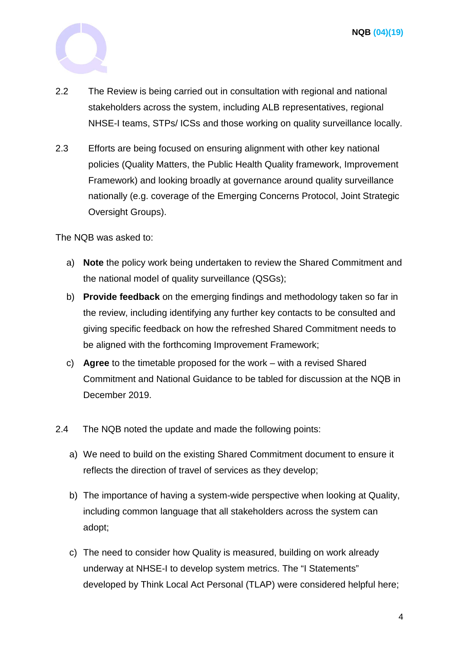

- 2.2 The Review is being carried out in consultation with regional and national stakeholders across the system, including ALB representatives, regional NHSE-I teams, STPs/ ICSs and those working on quality surveillance locally.
- 2.3 Efforts are being focused on ensuring alignment with other key national policies (Quality Matters, the Public Health Quality framework, Improvement Framework) and looking broadly at governance around quality surveillance nationally (e.g. coverage of the Emerging Concerns Protocol, Joint Strategic Oversight Groups).

The NQB was asked to:

- a) **Note** the policy work being undertaken to review the Shared Commitment and the national model of quality surveillance (QSGs);
- b) **Provide feedback** on the emerging findings and methodology taken so far in the review, including identifying any further key contacts to be consulted and giving specific feedback on how the refreshed Shared Commitment needs to be aligned with the forthcoming Improvement Framework;
- c) **Agree** to the timetable proposed for the work with a revised Shared Commitment and National Guidance to be tabled for discussion at the NQB in December 2019.
- 2.4 The NQB noted the update and made the following points:
	- a) We need to build on the existing Shared Commitment document to ensure it reflects the direction of travel of services as they develop;
	- b) The importance of having a system-wide perspective when looking at Quality, including common language that all stakeholders across the system can adopt;
	- c) The need to consider how Quality is measured, building on work already underway at NHSE-I to develop system metrics. The "I Statements" developed by Think Local Act Personal (TLAP) were considered helpful here;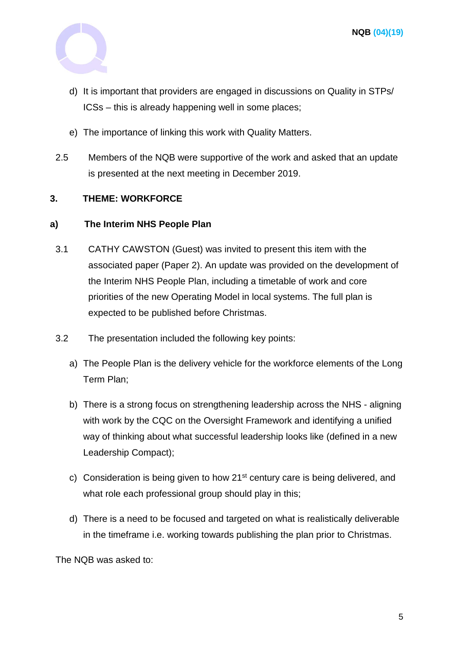

- d) It is important that providers are engaged in discussions on Quality in STPs/ ICSs – this is already happening well in some places;
- e) The importance of linking this work with Quality Matters.
- 2.5 Members of the NQB were supportive of the work and asked that an update is presented at the next meeting in December 2019.

# **3. THEME: WORKFORCE**

#### **a) The Interim NHS People Plan**

- 3.1 CATHY CAWSTON (Guest) was invited to present this item with the associated paper (Paper 2). An update was provided on the development of the Interim NHS People Plan, including a timetable of work and core priorities of the new Operating Model in local systems. The full plan is expected to be published before Christmas.
- 3.2 The presentation included the following key points:
	- a) The People Plan is the delivery vehicle for the workforce elements of the Long Term Plan;
	- b) There is a strong focus on strengthening leadership across the NHS aligning with work by the CQC on the Oversight Framework and identifying a unified way of thinking about what successful leadership looks like (defined in a new Leadership Compact);
	- c) Consideration is being given to how 21st century care is being delivered, and what role each professional group should play in this;
	- d) There is a need to be focused and targeted on what is realistically deliverable in the timeframe i.e. working towards publishing the plan prior to Christmas.

The NQB was asked to: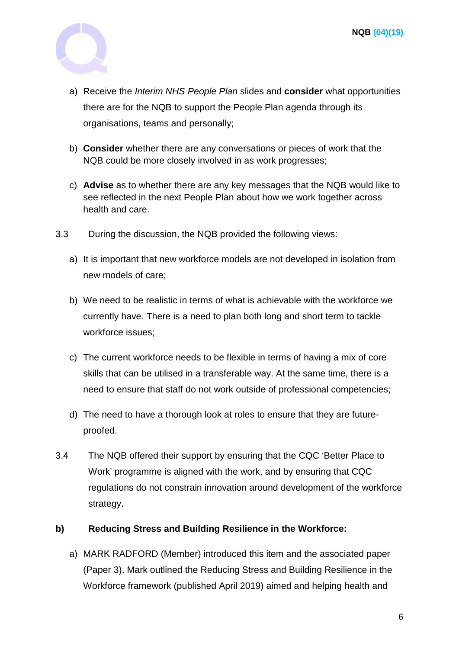

- a) Receive the *Interim NHS People Plan* slides and **consider** what opportunities there are for the NQB to support the People Plan agenda through its organisations, teams and personally;
- b) **Consider** whether there are any conversations or pieces of work that the NQB could be more closely involved in as work progresses;
- c) **Advise** as to whether there are any key messages that the NQB would like to see reflected in the next People Plan about how we work together across health and care.
- 3.3 During the discussion, the NQB provided the following views:
	- a) It is important that new workforce models are not developed in isolation from new models of care;
	- b) We need to be realistic in terms of what is achievable with the workforce we currently have. There is a need to plan both long and short term to tackle workforce issues;
	- c) The current workforce needs to be flexible in terms of having a mix of core skills that can be utilised in a transferable way. At the same time, there is a need to ensure that staff do not work outside of professional competencies;
	- d) The need to have a thorough look at roles to ensure that they are futureproofed.
- 3.4 The NQB offered their support by ensuring that the CQC 'Better Place to Work' programme is aligned with the work, and by ensuring that CQC regulations do not constrain innovation around development of the workforce strategy.

# **b) Reducing Stress and Building Resilience in the Workforce:**

a) MARK RADFORD (Member) introduced this item and the associated paper (Paper 3). Mark outlined the Reducing Stress and Building Resilience in the Workforce framework (published April 2019) aimed and helping health and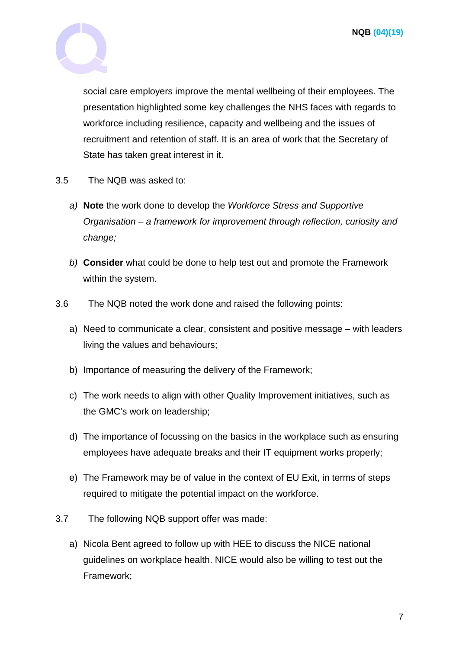

social care employers improve the mental wellbeing of their employees. The presentation highlighted some key challenges the NHS faces with regards to workforce including resilience, capacity and wellbeing and the issues of recruitment and retention of staff. It is an area of work that the Secretary of State has taken great interest in it.

- 3.5 The NQB was asked to:
	- *a)* **Note** the work done to develop the *Workforce Stress and Supportive Organisation – a framework for improvement through reflection, curiosity and change;*
	- *b)* **Consider** what could be done to help test out and promote the Framework within the system.
- 3.6 The NQB noted the work done and raised the following points:
	- a) Need to communicate a clear, consistent and positive message with leaders living the values and behaviours;
	- b) Importance of measuring the delivery of the Framework;
	- c) The work needs to align with other Quality Improvement initiatives, such as the GMC's work on leadership;
	- d) The importance of focussing on the basics in the workplace such as ensuring employees have adequate breaks and their IT equipment works properly:
	- e) The Framework may be of value in the context of EU Exit, in terms of steps required to mitigate the potential impact on the workforce.
- 3.7 The following NQB support offer was made:
	- a) Nicola Bent agreed to follow up with HEE to discuss the NICE national guidelines on workplace health. NICE would also be willing to test out the Framework;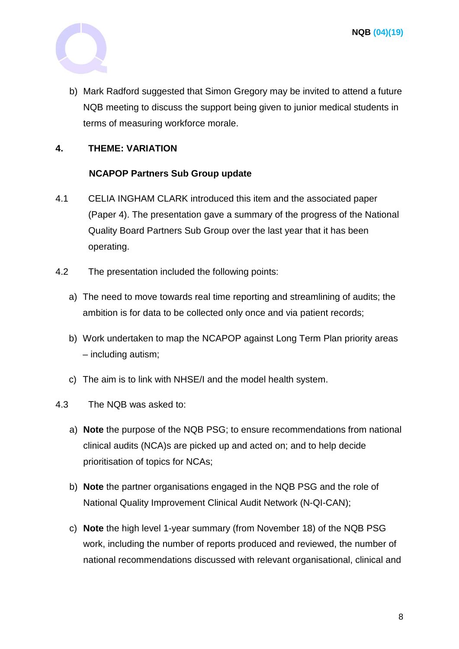

b) Mark Radford suggested that Simon Gregory may be invited to attend a future NQB meeting to discuss the support being given to junior medical students in terms of measuring workforce morale.

# **4. THEME: VARIATION**

# **NCAPOP Partners Sub Group update**

- 4.1 CELIA INGHAM CLARK introduced this item and the associated paper (Paper 4). The presentation gave a summary of the progress of the National Quality Board Partners Sub Group over the last year that it has been operating.
- 4.2 The presentation included the following points:
	- a) The need to move towards real time reporting and streamlining of audits; the ambition is for data to be collected only once and via patient records;
	- b) Work undertaken to map the NCAPOP against Long Term Plan priority areas – including autism;
	- c) The aim is to link with NHSE/I and the model health system.
- 4.3 The NQB was asked to:
	- a) **Note** the purpose of the NQB PSG; to ensure recommendations from national clinical audits (NCA)s are picked up and acted on; and to help decide prioritisation of topics for NCAs;
	- b) **Note** the partner organisations engaged in the NQB PSG and the role of National Quality Improvement Clinical Audit Network (N-QI-CAN);
	- c) **Note** the high level 1-year summary (from November 18) of the NQB PSG work, including the number of reports produced and reviewed, the number of national recommendations discussed with relevant organisational, clinical and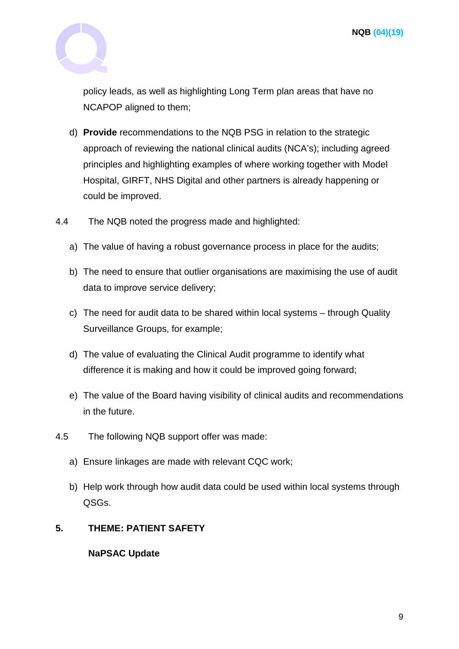

policy leads, as well as highlighting Long Term plan areas that have no NCAPOP aligned to them;

- d) **Provide** recommendations to the NQB PSG in relation to the strategic approach of reviewing the national clinical audits (NCA's); including agreed principles and highlighting examples of where working together with Model Hospital, GIRFT, NHS Digital and other partners is already happening or could be improved.
- 4.4 The NQB noted the progress made and highlighted:
	- a) The value of having a robust governance process in place for the audits;
	- b) The need to ensure that outlier organisations are maximising the use of audit data to improve service delivery;
	- c) The need for audit data to be shared within local systems through Quality Surveillance Groups, for example;
	- d) The value of evaluating the Clinical Audit programme to identify what difference it is making and how it could be improved going forward;
	- e) The value of the Board having visibility of clinical audits and recommendations in the future.
- 4.5 The following NQB support offer was made:
	- a) Ensure linkages are made with relevant CQC work;
	- b) Help work through how audit data could be used within local systems through QSGs.

# **5. THEME: PATIENT SAFETY**

**NaPSAC Update**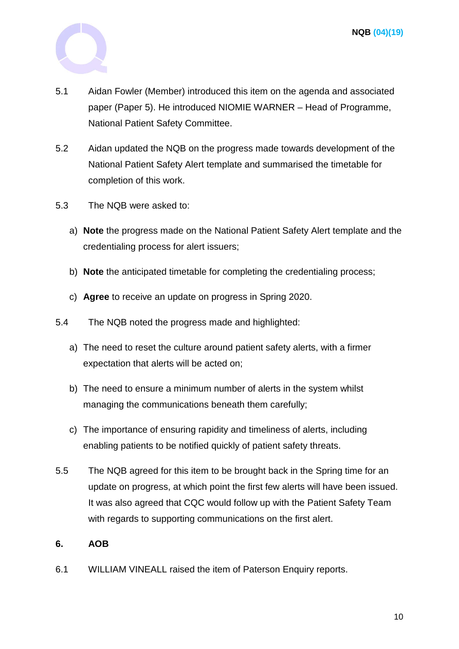

- 5.1 Aidan Fowler (Member) introduced this item on the agenda and associated paper (Paper 5). He introduced NIOMIE WARNER – Head of Programme, National Patient Safety Committee.
- 5.2 Aidan updated the NQB on the progress made towards development of the National Patient Safety Alert template and summarised the timetable for completion of this work.
- 5.3 The NQB were asked to:
	- a) **Note** the progress made on the National Patient Safety Alert template and the credentialing process for alert issuers;
	- b) **Note** the anticipated timetable for completing the credentialing process;
	- c) **Agree** to receive an update on progress in Spring 2020.
- 5.4 The NQB noted the progress made and highlighted:
	- a) The need to reset the culture around patient safety alerts, with a firmer expectation that alerts will be acted on;
	- b) The need to ensure a minimum number of alerts in the system whilst managing the communications beneath them carefully;
	- c) The importance of ensuring rapidity and timeliness of alerts, including enabling patients to be notified quickly of patient safety threats.
- 5.5 The NQB agreed for this item to be brought back in the Spring time for an update on progress, at which point the first few alerts will have been issued. It was also agreed that CQC would follow up with the Patient Safety Team with regards to supporting communications on the first alert.

# **6. AOB**

6.1 WILLIAM VINEALL raised the item of Paterson Enquiry reports.